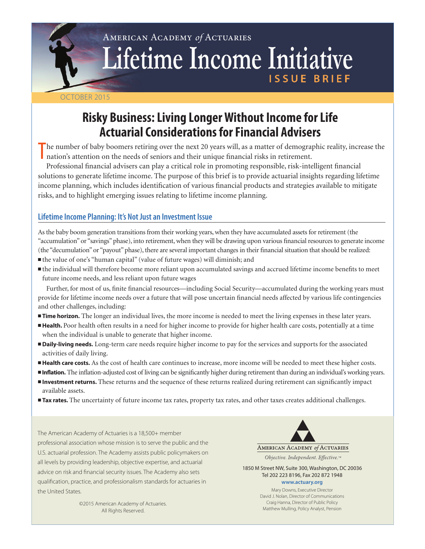# American Academy *of* Actuaries Lifetime Income Initiative **ISSUE BRIEF**

#### October 2015

# **Risky Business: Living Longer Without Income for Life Actuarial Considerations for Financial Advisers**

The number of baby boomers retiring over the next 20 years will, as a matter of demographical risks in retirement. he number of baby boomers retiring over the next 20 years will, as a matter of demographic reality, increase the

Professional financial advisers can play a critical role in promoting responsible, risk-intelligent financial solutions to generate lifetime income. The purpose of this brief is to provide actuarial insights regarding lifetime income planning, which includes identification of various financial products and strategies available to mitigate risks, and to highlight emerging issues relating to lifetime income planning.

## **Lifetime Income Planning: It's Not Just an Investment Issue**

As the baby boom generation transitions from their working years, when they have accumulated assets for retirement (the "accumulation" or "savings" phase), into retirement, when they will be drawing upon various financial resources to generate income (the "decumulation" or "payout" phase), there are several important changes in their financial situation that should be realized:

- <sup>n</sup>the value of one's "human capital" (value of future wages) will diminish; and
- $\blacksquare$  the individual will therefore become more reliant upon accumulated savings and accrued lifetime income benefits to meet future income needs, and less reliant upon future wages

Further, for most of us, finite financial resources—including Social Security—accumulated during the working years must provide for lifetime income needs over a future that will pose uncertain financial needs affected by various life contingencies and other challenges, including:

- **Time horizon.** The longer an individual lives, the more income is needed to meet the living expenses in these later years.
- **Health.** Poor health often results in a need for higher income to provide for higher health care costs, potentially at a time when the individual is unable to generate that higher income.
- **Daily-living needs.** Long-term care needs require higher income to pay for the services and supports for the associated activities of daily living.
- **Health care costs.** As the cost of health care continues to increase, more income will be needed to meet these higher costs.
- **Inflation.** The inflation-adjusted cost of living can be significantly higher during retirement than during an individual's working years.
- **Investment returns.** These returns and the sequence of these returns realized during retirement can significantly impact available assets.
- **Tax rates.** The uncertainty of future income tax rates, property tax rates, and other taxes creates additional challenges.

The American Academy of Actuaries is a 18,500+ member professional association whose mission is to serve the public and the U.S. actuarial profession. The Academy assists public policymakers on all levels by providing leadership, objective expertise, and actuarial advice on risk and financial security issues. The Academy also sets qualification, practice, and professionalism standards for actuaries in the United States.



Objective. Independent. Effective.™

1850 M Street NW, Suite 300, Washington, DC 20036 Tel 202 223 8196, Fax 202 872 1948 **www.actuary.org**

> Mary Downs, Executive Director David J. Nolan, Director of Communications Craig Hanna, Director of Public Policy Matthew Mulling, Policy Analyst, Pension

©2015 American Academy of Actuaries. All Rights Reserved.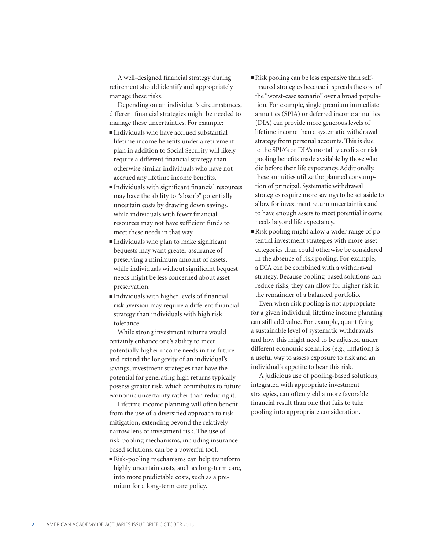A well-designed financial strategy during retirement should identify and appropriately manage these risks.

Depending on an individual's circumstances, different financial strategies might be needed to manage these uncertainties. For example:

- $\blacksquare$ Individuals who have accrued substantial lifetime income benefits under a retirement plan in addition to Social Security will likely require a different financial strategy than otherwise similar individuals who have not accrued any lifetime income benefits.
- <sup>n</sup>Individuals with significant financial resources may have the ability to "absorb" potentially uncertain costs by drawing down savings, while individuals with fewer financial resources may not have sufficient funds to meet these needs in that way.
- $\blacksquare$ Individuals who plan to make significant bequests may want greater assurance of preserving a minimum amount of assets, while individuals without significant bequest needs might be less concerned about asset preservation.
- $\blacksquare$ Individuals with higher levels of financial risk aversion may require a different financial strategy than individuals with high risk tolerance.

While strong investment returns would certainly enhance one's ability to meet potentially higher income needs in the future and extend the longevity of an individual's savings, investment strategies that have the potential for generating high returns typically possess greater risk, which contributes to future economic uncertainty rather than reducing it.

Lifetime income planning will often benefit from the use of a diversified approach to risk mitigation, extending beyond the relatively narrow lens of investment risk. The use of risk-pooling mechanisms, including insurancebased solutions, can be a powerful tool.

 $\blacksquare$  Risk-pooling mechanisms can help transform highly uncertain costs, such as long-term care, into more predictable costs, such as a premium for a long-term care policy.

- n Risk pooling can be less expensive than selfinsured strategies because it spreads the cost of the "worst-case scenario" over a broad population. For example, single premium immediate annuities (SPIA) or deferred income annuities (DIA) can provide more generous levels of lifetime income than a systematic withdrawal strategy from personal accounts. This is due to the SPIA's or DIA's mortality credits or risk pooling benefits made available by those who die before their life expectancy. Additionally, these annuities utilize the planned consumption of principal. Systematic withdrawal strategies require more savings to be set aside to allow for investment return uncertainties and to have enough assets to meet potential income needs beyond life expectancy.
- n Risk pooling might allow a wider range of potential investment strategies with more asset categories than could otherwise be considered in the absence of risk pooling. For example, a DIA can be combined with a withdrawal strategy. Because pooling-based solutions can reduce risks, they can allow for higher risk in the remainder of a balanced portfolio.

Even when risk pooling is not appropriate for a given individual, lifetime income planning can still add value. For example, quantifying a sustainable level of systematic withdrawals and how this might need to be adjusted under different economic scenarios (e.g., inflation) is a useful way to assess exposure to risk and an individual's appetite to bear this risk.

A judicious use of pooling-based solutions, integrated with appropriate investment strategies, can often yield a more favorable financial result than one that fails to take pooling into appropriate consideration.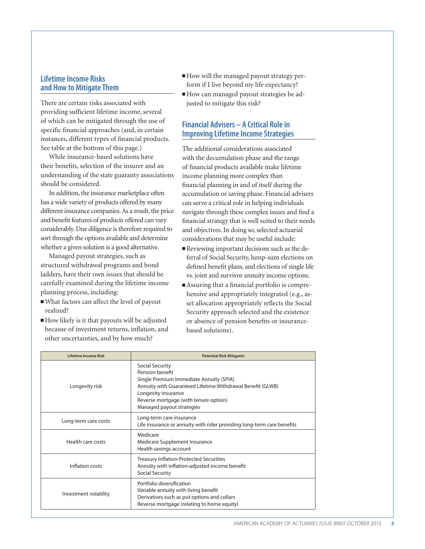#### **Lifetime Income Risks and How to Mitigate Them**

There are certain risks associated with providing sufficient lifetime income, several of which can be mitigated through the use of specific financial approaches (and, in certain instances, different types of financial products. See table at the bottom of this page.)

While insurance-based solutions have their benefits, selection of the insurer and an understanding of the state guaranty associations should be considered.

In addition, the insurance marketplace often has a wide variety of products offered by many different insurance companies. As a result, the price and benefit features of products offered can vary considerably. Due diligence is therefore required to sort through the options available and determine whether a given solution is a good alternative.

Managed payout strategies, such as structured withdrawal programs and bond ladders, have their own issues that should be carefully examined during the lifetime income planning process, including:

- <sup>n</sup>What factors can affect the level of payout realized?
- <sup>n</sup>How likely is it that payouts will be adjusted because of investment returns, inflation, and other uncertainties, and by how much?
- n How will the managed payout strategy perform if I live beyond my life expectancy?
- n How can managed payout strategies be adjusted to mitigate this risk?

## **Financial Advisers – A Critical Role in Improving Lifetime Income Strategies**

The additional considerations associated with the decumulation phase and the range of financial products available make lifetime income planning more complex than financial planning in and of itself during the accumulation or saving phase. Financial advisers can serve a critical role in helping individuals navigate through these complex issues and find a financial strategy that is well suited to their needs and objectives. In doing so, selected actuarial considerations that may be useful include:

- n Reviewing important decisions such as the deferral of Social Security, lump-sum elections on defined benefit plans, and elections of single life vs. joint and survivor annuity income options.
- $\blacksquare$  Assuring that a financial portfolio is comprehensive and appropriately integrated (e.g., asset allocation appropriately reflects the Social Security approach selected and the existence or absence of pension benefits or insurancebased solutions).

| Lifetime Income Risk  | <b>Potential Risk Mitigants</b>                                                                                                                                                                                                          |
|-----------------------|------------------------------------------------------------------------------------------------------------------------------------------------------------------------------------------------------------------------------------------|
| Longevity risk        | Social Security<br>Pension benefit<br>Single Premium Immediate Annuity (SPIA)<br>Annuity with Guaranteed Lifetime Withdrawal Benefit (GLWB)<br>Longevity insurance<br>Reverse mortgage (with tenure option)<br>Managed payout strategies |
| Long-term care costs  | Long-term care insurance<br>Life insurance or annuity with rider providing long-term care benefits                                                                                                                                       |
| Health care costs     | Medicare<br>Medicare Supplement Insurance<br>Health savings account                                                                                                                                                                      |
| Inflation costs       | <b>Treasury Inflation-Protected Securities</b><br>Annuity with inflation-adjusted income benefit<br><b>Social Security</b>                                                                                                               |
| Investment volatility | Portfolio diversification<br>Variable annuity with living benefit<br>Derivatives such as put options and collars<br>Reverse mortgage (relating to home equity)                                                                           |